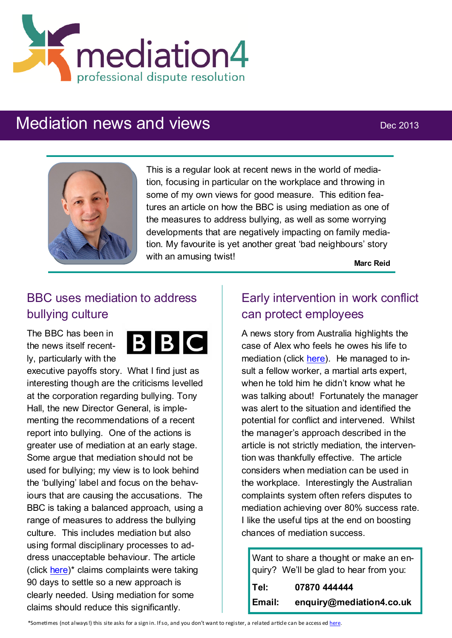

# Mediation news and views Dec 2013



This is a regular look at recent news in the world of mediation, focusing in particular on the workplace and throwing in some of my own views for good measure. This edition features an article on how the BBC is using mediation as one of the measures to address bullying, as well as some worrying developments that are negatively impacting on family mediation. My favourite is yet another great 'bad neighbours' story with an amusing twist!

**Marc Reid**

## BBC uses mediation to address bullying culture

The BBC has been in the news itself recently, particularly with the



executive payoffs story. What I find just as interesting though are the criticisms levelled at the corporation regarding bullying. Tony Hall, the new Director General, is implementing the recommendations of a recent report into bullying. One of the actions is greater use of mediation at an early stage. Some argue that mediation should not be used for bullying; my view is to look behind the 'bullying' label and focus on the behaviours that are causing the accusations. The BBC is taking a balanced approach, using a range of measures to address the bullying culture. This includes mediation but also using formal disciplinary processes to address unacceptable behaviour. The article (click [here\)\\*](http://www.broadcastnow.co.uk/news/broadcasters/bullying-bbc-still-under-fire/5062831.article) claims complaints were taking 90 days to settle so a new approach is clearly needed. Using mediation for some claims should reduce this significantly.

## Early intervention in work conflict can protect employees

A news story from Australia highlights the case of Alex who feels he owes his life to mediation (click [here\)](http://www.smh.com.au/small-business/growing/does-mediation-work-20130820-2s8b7.html). He managed to insult a fellow worker, a martial arts expert. when he told him he didn't know what he was talking about! Fortunately the manager was alert to the situation and identified the potential for conflict and intervened. Whilst the manager's approach described in the article is not strictly mediation, the intervention was thankfully effective. The article considers when mediation can be used in the workplace. Interestingly the Australian complaints system often refers disputes to mediation achieving over 80% success rate. I like the useful tips at the end on boosting chances of mediation success.

|        | Want to share a thought or make an en- |
|--------|----------------------------------------|
|        | quiry? We'll be glad to hear from you: |
| Tel:   | 07870 444444                           |
| Email: | enquiry@mediation4.co.uk               |